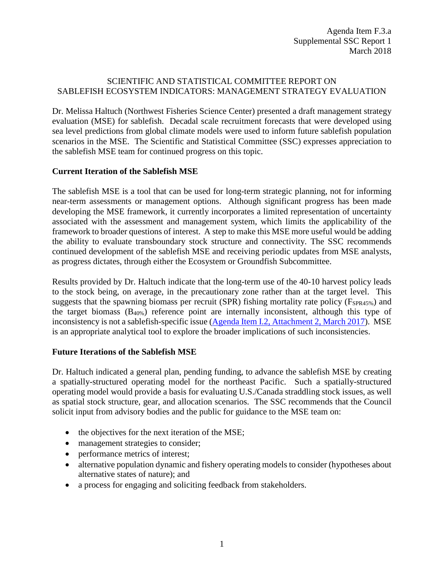## SCIENTIFIC AND STATISTICAL COMMITTEE REPORT ON SABLEFISH ECOSYSTEM INDICATORS: MANAGEMENT STRATEGY EVALUATION

Dr. Melissa Haltuch (Northwest Fisheries Science Center) presented a draft management strategy evaluation (MSE) for sablefish. Decadal scale recruitment forecasts that were developed using sea level predictions from global climate models were used to inform future sablefish population scenarios in the MSE. The Scientific and Statistical Committee (SSC) expresses appreciation to the sablefish MSE team for continued progress on this topic.

## **Current Iteration of the Sablefish MSE**

The sablefish MSE is a tool that can be used for long-term strategic planning, not for informing near-term assessments or management options. Although significant progress has been made developing the MSE framework, it currently incorporates a limited representation of uncertainty associated with the assessment and management system, which limits the applicability of the framework to broader questions of interest. A step to make this MSE more useful would be adding the ability to evaluate transboundary stock structure and connectivity. The SSC recommends continued development of the sablefish MSE and receiving periodic updates from MSE analysts, as progress dictates, through either the Ecosystem or Groundfish Subcommittee.

Results provided by Dr. Haltuch indicate that the long-term use of the 40-10 harvest policy leads to the stock being, on average, in the precautionary zone rather than at the target level. This suggests that the spawning biomass per recruit (SPR) fishing mortality rate policy ( $F_{SPR45\%}$ ) and the target biomass  $(B_{40\%})$  reference point are internally inconsistent, although this type of inconsistency is not a sablefish-specific issue [\(Agenda Item I.2, Attachment 2, March 2017\)](http://www.pcouncil.org/wp-content/uploads/2017/02/I2_Att2_ProductivityWorkshopReport_Mar2017BB.pdf). MSE is an appropriate analytical tool to explore the broader implications of such inconsistencies.

## **Future Iterations of the Sablefish MSE**

Dr. Haltuch indicated a general plan, pending funding, to advance the sablefish MSE by creating a spatially-structured operating model for the northeast Pacific. Such a spatially-structured operating model would provide a basis for evaluating U.S./Canada straddling stock issues, as well as spatial stock structure, gear, and allocation scenarios. The SSC recommends that the Council solicit input from advisory bodies and the public for guidance to the MSE team on:

- the objectives for the next iteration of the MSE;
- management strategies to consider;
- performance metrics of interest;
- alternative population dynamic and fishery operating models to consider (hypotheses about alternative states of nature); and
- a process for engaging and soliciting feedback from stakeholders.